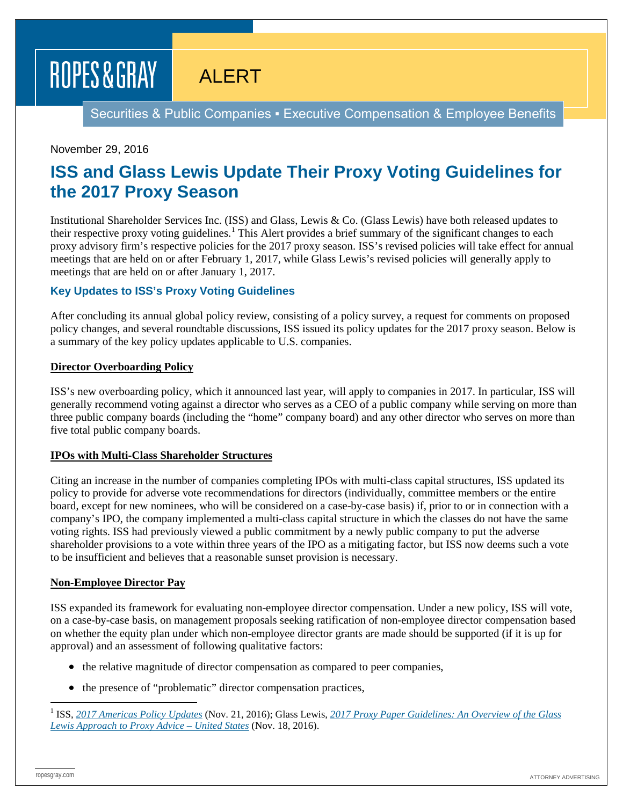# ROPES & GRAY

ALERT

Securities & Public Companies ▪ Executive Compensation & Employee Benefits

## November 29, 2016

# **ISS and Glass Lewis Update Their Proxy Voting Guidelines for the 2017 Proxy Season**

Institutional Shareholder Services Inc. (ISS) and Glass, Lewis & Co. (Glass Lewis) have both released updates to their respective proxy voting guidelines.<sup>[1](#page-0-0)</sup> This Alert provides a brief summary of the significant changes to each proxy advisory firm's respective policies for the 2017 proxy season. ISS's revised policies will take effect for annual meetings that are held on or after February 1, 2017, while Glass Lewis's revised policies will generally apply to meetings that are held on or after January 1, 2017.

## **Key Updates to ISS's Proxy Voting Guidelines**

After concluding its annual global policy review, consisting of a policy survey, a request for comments on proposed policy changes, and several roundtable discussions, ISS issued its policy updates for the 2017 proxy season. Below is a summary of the key policy updates applicable to U.S. companies.

#### **Director Overboarding Policy**

ISS's new overboarding policy, which it announced last year, will apply to companies in 2017. In particular, ISS will generally recommend voting against a director who serves as a CEO of a public company while serving on more than three public company boards (including the "home" company board) and any other director who serves on more than five total public company boards.

#### **IPOs with Multi-Class Shareholder Structures**

Citing an increase in the number of companies completing IPOs with multi-class capital structures, ISS updated its policy to provide for adverse vote recommendations for directors (individually, committee members or the entire board, except for new nominees, who will be considered on a case-by-case basis) if, prior to or in connection with a company's IPO, the company implemented a multi-class capital structure in which the classes do not have the same voting rights. ISS had previously viewed a public commitment by a newly public company to put the adverse shareholder provisions to a vote within three years of the IPO as a mitigating factor, but ISS now deems such a vote to be insufficient and believes that a reasonable sunset provision is necessary.

#### **Non-Employee Director Pay**

ISS expanded its framework for evaluating non-employee director compensation. Under a new policy, ISS will vote, on a case-by-case basis, on management proposals seeking ratification of non-employee director compensation based on whether the equity plan under which non-employee director grants are made should be supported (if it is up for approval) and an assessment of following qualitative factors:

- the relative magnitude of director compensation as compared to peer companies,
- the presence of "problematic" director compensation practices,

<span id="page-0-0"></span> <sup>1</sup> ISS, *[2017 Americas Policy Updates](https://www.issgovernance.com/file/policy/2017-americas-iss-policy-updates.pdf)* (Nov. 21, 2016); Glass Lewis, *[2017 Proxy Paper Guidelines: An Overview of the Glass](http://www.glasslewis.com/wp-content/uploads/2016/11/2017_Guideline_US.pdf)  [Lewis Approach to Proxy Advice –](http://www.glasslewis.com/wp-content/uploads/2016/11/2017_Guideline_US.pdf) United States* (Nov. 18, 2016).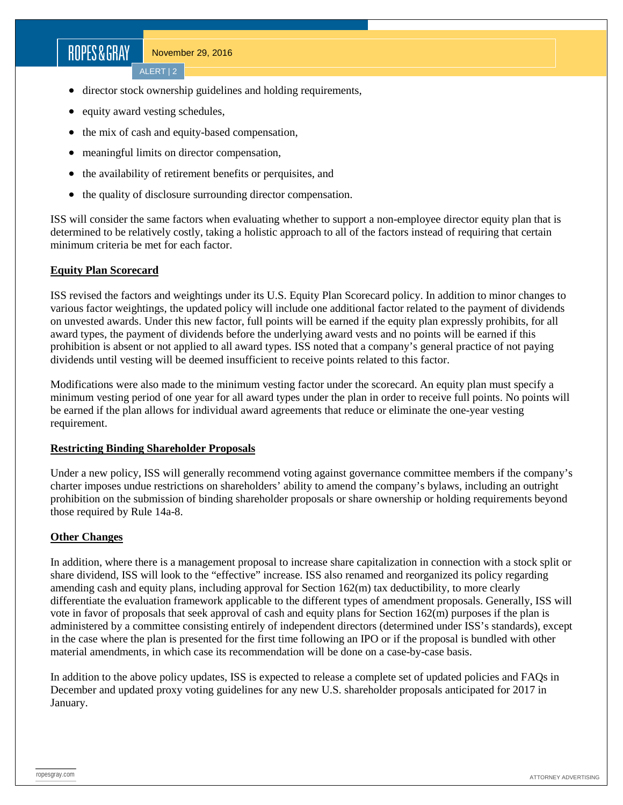# ROPES&GRAY

- director stock ownership guidelines and holding requirements,
- equity award vesting schedules,
- the mix of cash and equity-based compensation,
- meaningful limits on director compensation,
- the availability of retirement benefits or perquisites, and
- the quality of disclosure surrounding director compensation.

ISS will consider the same factors when evaluating whether to support a non-employee director equity plan that is determined to be relatively costly, taking a holistic approach to all of the factors instead of requiring that certain minimum criteria be met for each factor.

## **Equity Plan Scorecard**

ISS revised the factors and weightings under its U.S. Equity Plan Scorecard policy. In addition to minor changes to various factor weightings, the updated policy will include one additional factor related to the payment of dividends on unvested awards. Under this new factor, full points will be earned if the equity plan expressly prohibits, for all award types, the payment of dividends before the underlying award vests and no points will be earned if this prohibition is absent or not applied to all award types. ISS noted that a company's general practice of not paying dividends until vesting will be deemed insufficient to receive points related to this factor.

Modifications were also made to the minimum vesting factor under the scorecard. An equity plan must specify a minimum vesting period of one year for all award types under the plan in order to receive full points. No points will be earned if the plan allows for individual award agreements that reduce or eliminate the one-year vesting requirement.

#### **Restricting Binding Shareholder Proposals**

Under a new policy, ISS will generally recommend voting against governance committee members if the company's charter imposes undue restrictions on shareholders' ability to amend the company's bylaws, including an outright prohibition on the submission of binding shareholder proposals or share ownership or holding requirements beyond those required by Rule 14a-8.

#### **Other Changes**

In addition, where there is a management proposal to increase share capitalization in connection with a stock split or share dividend, ISS will look to the "effective" increase. ISS also renamed and reorganized its policy regarding amending cash and equity plans, including approval for Section 162(m) tax deductibility, to more clearly differentiate the evaluation framework applicable to the different types of amendment proposals. Generally, ISS will vote in favor of proposals that seek approval of cash and equity plans for Section 162(m) purposes if the plan is administered by a committee consisting entirely of independent directors (determined under ISS's standards), except in the case where the plan is presented for the first time following an IPO or if the proposal is bundled with other material amendments, in which case its recommendation will be done on a case-by-case basis.

In addition to the above policy updates, ISS is expected to release a complete set of updated policies and FAQs in December and updated proxy voting guidelines for any new U.S. shareholder proposals anticipated for 2017 in January.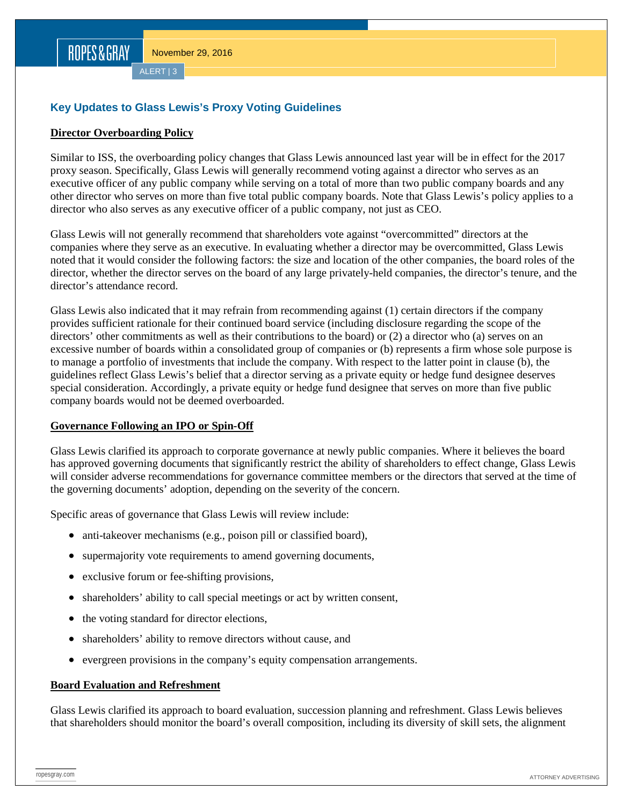ALERT | 3

## **Key Updates to Glass Lewis's Proxy Voting Guidelines**

#### **Director Overboarding Policy**

Similar to ISS, the overboarding policy changes that Glass Lewis announced last year will be in effect for the 2017 proxy season. Specifically, Glass Lewis will generally recommend voting against a director who serves as an executive officer of any public company while serving on a total of more than two public company boards and any other director who serves on more than five total public company boards. Note that Glass Lewis's policy applies to a director who also serves as any executive officer of a public company, not just as CEO.

Glass Lewis will not generally recommend that shareholders vote against "overcommitted" directors at the companies where they serve as an executive. In evaluating whether a director may be overcommitted, Glass Lewis noted that it would consider the following factors: the size and location of the other companies, the board roles of the director, whether the director serves on the board of any large privately-held companies, the director's tenure, and the director's attendance record.

Glass Lewis also indicated that it may refrain from recommending against (1) certain directors if the company provides sufficient rationale for their continued board service (including disclosure regarding the scope of the directors' other commitments as well as their contributions to the board) or (2) a director who (a) serves on an excessive number of boards within a consolidated group of companies or (b) represents a firm whose sole purpose is to manage a portfolio of investments that include the company. With respect to the latter point in clause (b), the guidelines reflect Glass Lewis's belief that a director serving as a private equity or hedge fund designee deserves special consideration. Accordingly, a private equity or hedge fund designee that serves on more than five public company boards would not be deemed overboarded.

#### **Governance Following an IPO or Spin-Off**

Glass Lewis clarified its approach to corporate governance at newly public companies. Where it believes the board has approved governing documents that significantly restrict the ability of shareholders to effect change, Glass Lewis will consider adverse recommendations for governance committee members or the directors that served at the time of the governing documents' adoption, depending on the severity of the concern.

Specific areas of governance that Glass Lewis will review include:

- anti-takeover mechanisms (e.g., poison pill or classified board),
- supermajority vote requirements to amend governing documents,
- exclusive forum or fee-shifting provisions,
- shareholders' ability to call special meetings or act by written consent,
- the voting standard for director elections,
- shareholders' ability to remove directors without cause, and
- evergreen provisions in the company's equity compensation arrangements.

#### **Board Evaluation and Refreshment**

Glass Lewis clarified its approach to board evaluation, succession planning and refreshment. Glass Lewis believes that shareholders should monitor the board's overall composition, including its diversity of skill sets, the alignment